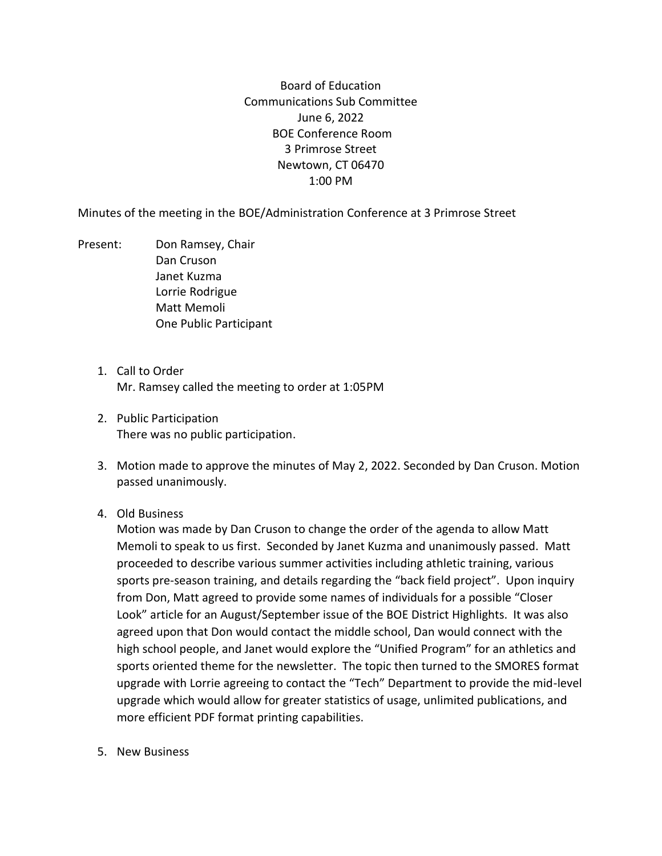Board of Education Communications Sub Committee June 6, 2022 BOE Conference Room 3 Primrose Street Newtown, CT 06470 1:00 PM

Minutes of the meeting in the BOE/Administration Conference at 3 Primrose Street

- Present: Don Ramsey, Chair Dan Cruson Janet Kuzma Lorrie Rodrigue Matt Memoli One Public Participant
	- 1. Call to Order Mr. Ramsey called the meeting to order at 1:05PM
	- 2. Public Participation There was no public participation.
	- 3. Motion made to approve the minutes of May 2, 2022. Seconded by Dan Cruson. Motion passed unanimously.
	- 4. Old Business

Motion was made by Dan Cruson to change the order of the agenda to allow Matt Memoli to speak to us first. Seconded by Janet Kuzma and unanimously passed. Matt proceeded to describe various summer activities including athletic training, various sports pre-season training, and details regarding the "back field project". Upon inquiry from Don, Matt agreed to provide some names of individuals for a possible "Closer Look" article for an August/September issue of the BOE District Highlights. It was also agreed upon that Don would contact the middle school, Dan would connect with the high school people, and Janet would explore the "Unified Program" for an athletics and sports oriented theme for the newsletter. The topic then turned to the SMORES format upgrade with Lorrie agreeing to contact the "Tech" Department to provide the mid-level upgrade which would allow for greater statistics of usage, unlimited publications, and more efficient PDF format printing capabilities.

5. New Business